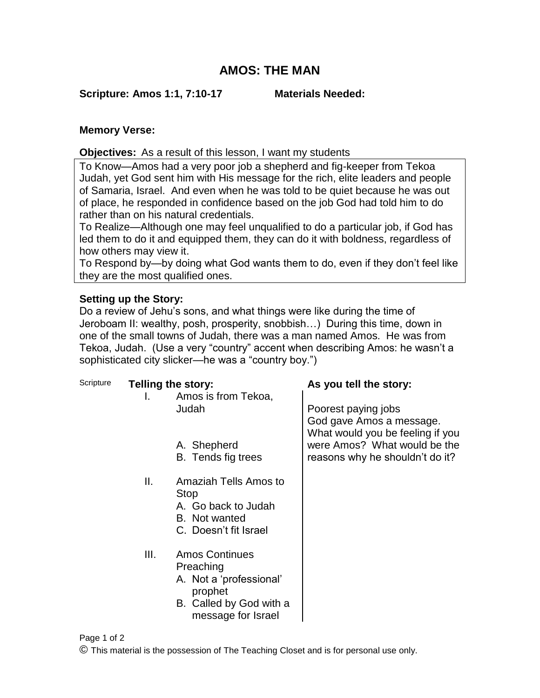## **AMOS: THE MAN**

**Scripture: Amos 1:1, 7:10-17 Materials Needed:**

## **Memory Verse:**

**Objectives:** As a result of this lesson, I want my students

To Know—Amos had a very poor job a shepherd and fig-keeper from Tekoa Judah, yet God sent him with His message for the rich, elite leaders and people of Samaria, Israel. And even when he was told to be quiet because he was out of place, he responded in confidence based on the job God had told him to do rather than on his natural credentials.

To Realize—Although one may feel unqualified to do a particular job, if God has led them to do it and equipped them, they can do it with boldness, regardless of how others may view it.

To Respond by—by doing what God wants them to do, even if they don't feel like they are the most qualified ones.

## **Setting up the Story:**

Do a review of Jehu's sons, and what things were like during the time of Jeroboam II: wealthy, posh, prosperity, snobbish…) During this time, down in one of the small towns of Judah, there was a man named Amos. He was from Tekoa, Judah. (Use a very "country" accent when describing Amos: he wasn't a sophisticated city slicker—he was a "country boy.")

| Scripture | <b>Telling the story:</b> |                                                                                                                           | As you tell the story:                                                              |
|-----------|---------------------------|---------------------------------------------------------------------------------------------------------------------------|-------------------------------------------------------------------------------------|
|           | Ι.                        | Amos is from Tekoa,                                                                                                       |                                                                                     |
|           |                           | Judah                                                                                                                     | Poorest paying jobs<br>God gave Amos a message.<br>What would you be feeling if you |
|           |                           | A. Shepherd                                                                                                               | were Amos? What would be the                                                        |
|           |                           | B. Tends fig trees                                                                                                        | reasons why he shouldn't do it?                                                     |
|           | Ш.                        | Amaziah Tells Amos to<br><b>Stop</b><br>A. Go back to Judah<br>B. Not wanted<br>C. Doesn't fit Israel                     |                                                                                     |
|           | III.                      | <b>Amos Continues</b><br>Preaching<br>A. Not a 'professional'<br>prophet<br>B. Called by God with a<br>message for Israel |                                                                                     |